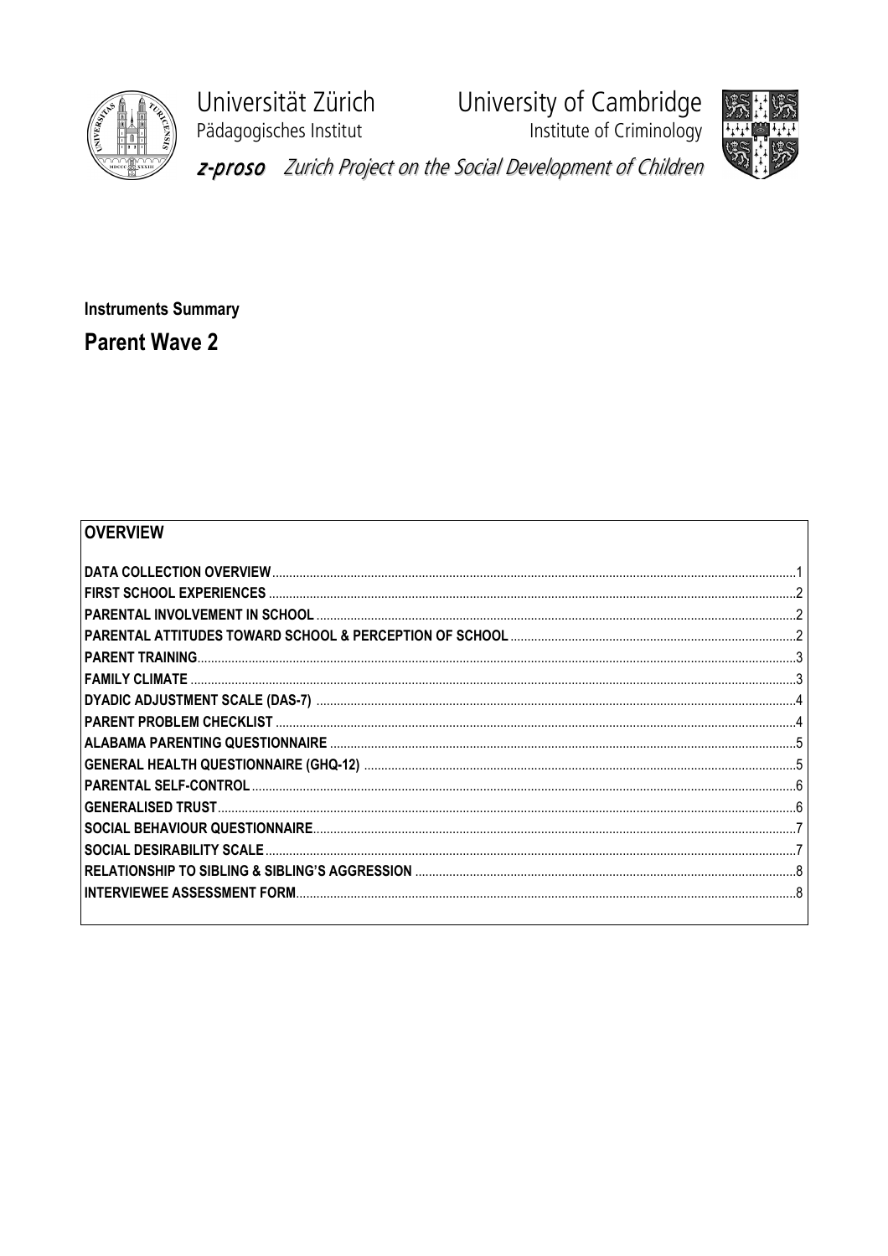

Universität Zürich Pädagogisches Institut

University of Cambridge<br>Institute of Criminology





z-proso Zurich Project on the Social Development of Children

**Instruments Summary Parent Wave 2** 

## OVERVIEW

| PARENTAL ATTITUDES TOWARD SCHOOL & PERCEPTION OF SCHOOL …………………………………………………………………2 |  |
|------------------------------------------------------------------------------------|--|
|                                                                                    |  |
|                                                                                    |  |
|                                                                                    |  |
|                                                                                    |  |
|                                                                                    |  |
|                                                                                    |  |
|                                                                                    |  |
|                                                                                    |  |
|                                                                                    |  |
|                                                                                    |  |
|                                                                                    |  |
|                                                                                    |  |
|                                                                                    |  |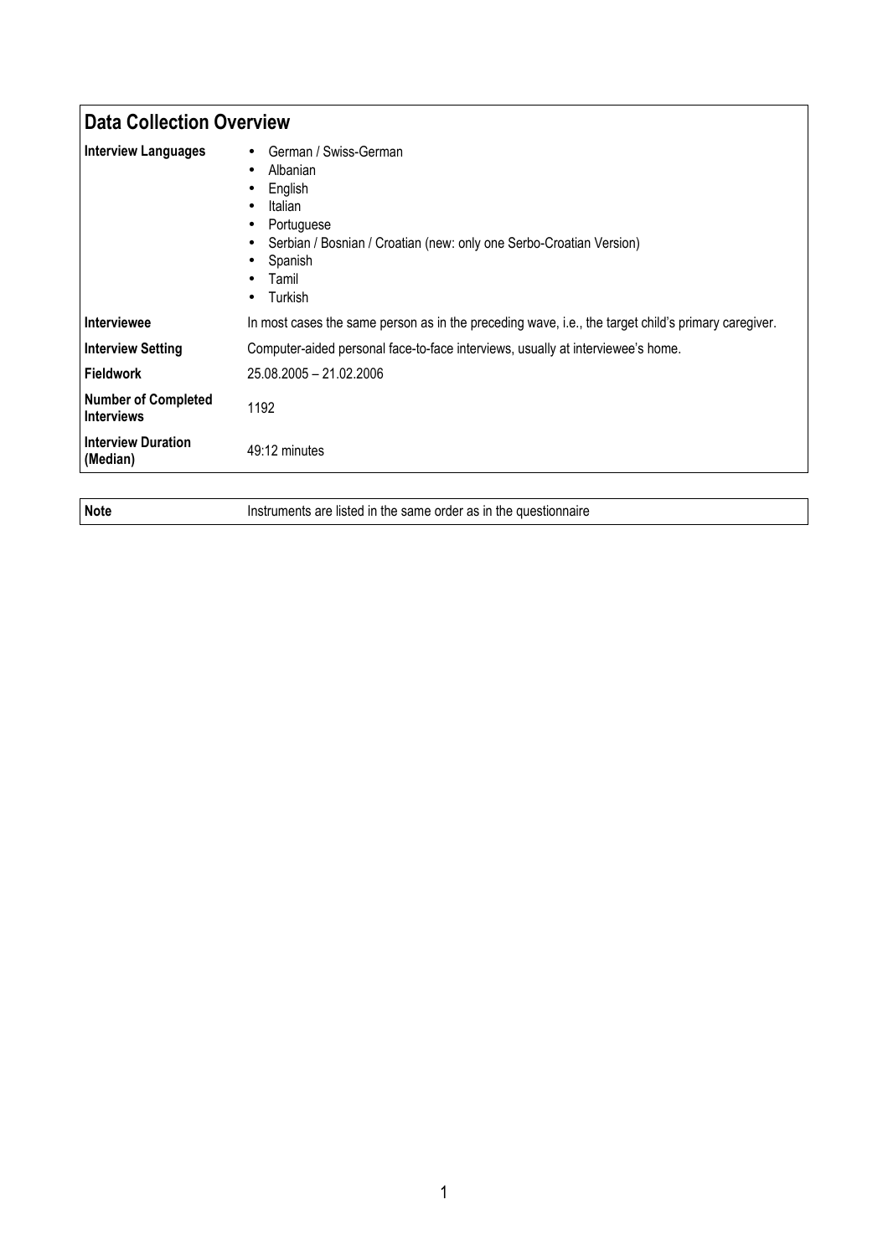| <b>Data Collection Overview</b>                 |                                                                                                                                                                                                                                                   |
|-------------------------------------------------|---------------------------------------------------------------------------------------------------------------------------------------------------------------------------------------------------------------------------------------------------|
| <b>Interview Languages</b>                      | German / Swiss-German<br>Albanian<br>$\bullet$<br>English<br>٠<br>Italian<br>$\bullet$<br>Portuguese<br>Serbian / Bosnian / Croatian (new: only one Serbo-Croatian Version)<br>$\bullet$<br>Spanish<br>Tamil<br>$\bullet$<br>Turkish<br>$\bullet$ |
| <b>Interviewee</b>                              | In most cases the same person as in the preceding wave, i.e., the target child's primary caregiver.                                                                                                                                               |
| <b>Interview Setting</b>                        | Computer-aided personal face-to-face interviews, usually at interviewee's home.                                                                                                                                                                   |
| <b>Fieldwork</b>                                | 25.08.2005 - 21.02.2006                                                                                                                                                                                                                           |
| <b>Number of Completed</b><br><b>Interviews</b> | 1192                                                                                                                                                                                                                                              |
| <b>Interview Duration</b><br>(Median)           | 49:12 minutes                                                                                                                                                                                                                                     |

Note **Instruments are listed in the same order as in the questionnaire**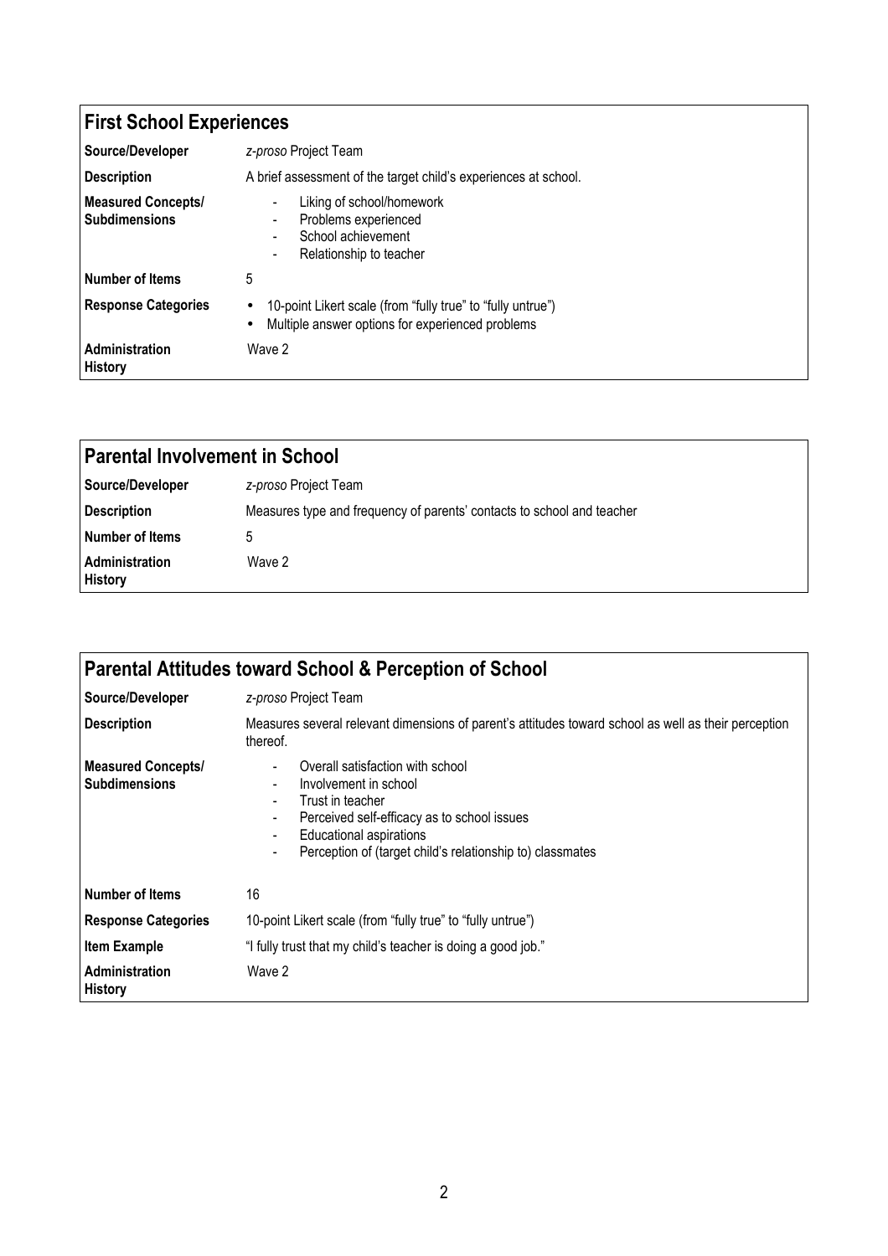| <b>First School Experiences</b>                   |                                                                                                                              |
|---------------------------------------------------|------------------------------------------------------------------------------------------------------------------------------|
| Source/Developer                                  | z-proso Project Team                                                                                                         |
| <b>Description</b>                                | A brief assessment of the target child's experiences at school.                                                              |
| <b>Measured Concepts/</b><br><b>Subdimensions</b> | Liking of school/homework<br>Problems experienced<br>School achievement<br>Relationship to teacher<br>٠                      |
| <b>Number of Items</b>                            | 5                                                                                                                            |
| <b>Response Categories</b>                        | 10-point Likert scale (from "fully true" to "fully untrue")<br>$\bullet$<br>Multiple answer options for experienced problems |
| Administration<br><b>History</b>                  | Wave 2                                                                                                                       |

| <b>Parental Involvement in School</b>   |                                                                        |
|-----------------------------------------|------------------------------------------------------------------------|
| Source/Developer                        | z-proso Project Team                                                   |
| <b>Description</b>                      | Measures type and frequency of parents' contacts to school and teacher |
| Number of Items                         |                                                                        |
| <b>Administration</b><br><b>History</b> | Wave 2                                                                 |

| <b>Parental Attitudes toward School &amp; Perception of School</b> |                                                                                                                                                                                                                             |
|--------------------------------------------------------------------|-----------------------------------------------------------------------------------------------------------------------------------------------------------------------------------------------------------------------------|
| Source/Developer                                                   | z-proso Project Team                                                                                                                                                                                                        |
| <b>Description</b>                                                 | Measures several relevant dimensions of parent's attitudes toward school as well as their perception<br>thereof.                                                                                                            |
| <b>Measured Concepts/</b><br><b>Subdimensions</b>                  | Overall satisfaction with school<br>Involvement in school<br>Trust in teacher<br>Perceived self-efficacy as to school issues<br><b>Educational aspirations</b><br>Perception of (target child's relationship to) classmates |
| <b>Number of Items</b>                                             | 16                                                                                                                                                                                                                          |
| <b>Response Categories</b>                                         | 10-point Likert scale (from "fully true" to "fully untrue")                                                                                                                                                                 |
| <b>Item Example</b>                                                | "I fully trust that my child's teacher is doing a good job."                                                                                                                                                                |
| <b>Administration</b><br><b>History</b>                            | Wave 2                                                                                                                                                                                                                      |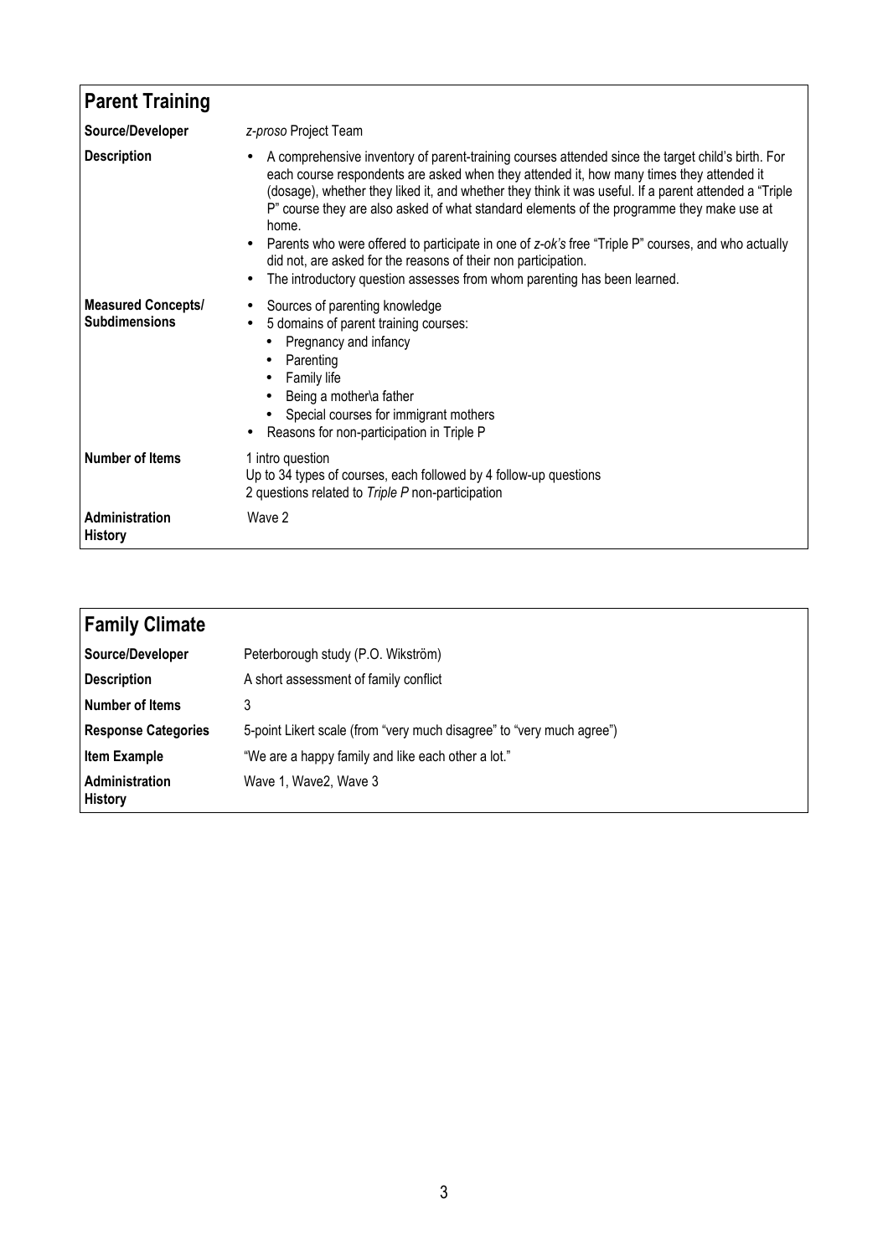| <b>Parent Training</b>                            |                                                                                                                                                                                                                                                                                                                                                                                                                                                                                                                                                                                                                                                                                                         |
|---------------------------------------------------|---------------------------------------------------------------------------------------------------------------------------------------------------------------------------------------------------------------------------------------------------------------------------------------------------------------------------------------------------------------------------------------------------------------------------------------------------------------------------------------------------------------------------------------------------------------------------------------------------------------------------------------------------------------------------------------------------------|
| Source/Developer                                  | z-proso Project Team                                                                                                                                                                                                                                                                                                                                                                                                                                                                                                                                                                                                                                                                                    |
| <b>Description</b>                                | A comprehensive inventory of parent-training courses attended since the target child's birth. For<br>$\bullet$<br>each course respondents are asked when they attended it, how many times they attended it<br>(dosage), whether they liked it, and whether they think it was useful. If a parent attended a "Triple<br>P" course they are also asked of what standard elements of the programme they make use at<br>home.<br>Parents who were offered to participate in one of z-ok's free "Triple P" courses, and who actually<br>$\bullet$<br>did not, are asked for the reasons of their non participation.<br>The introductory question assesses from whom parenting has been learned.<br>$\bullet$ |
| <b>Measured Concepts/</b><br><b>Subdimensions</b> | Sources of parenting knowledge<br>٠<br>5 domains of parent training courses:<br>$\bullet$<br>Pregnancy and infancy<br>$\bullet$<br>Parenting<br>Family life<br>Being a mother\a father<br>Special courses for immigrant mothers<br>Reasons for non-participation in Triple P<br>$\bullet$                                                                                                                                                                                                                                                                                                                                                                                                               |
| <b>Number of Items</b>                            | 1 intro question<br>Up to 34 types of courses, each followed by 4 follow-up questions<br>2 questions related to Triple P non-participation                                                                                                                                                                                                                                                                                                                                                                                                                                                                                                                                                              |
| Administration<br><b>History</b>                  | Wave 2                                                                                                                                                                                                                                                                                                                                                                                                                                                                                                                                                                                                                                                                                                  |

| <b>Family Climate</b>            |                                                                       |
|----------------------------------|-----------------------------------------------------------------------|
| Source/Developer                 | Peterborough study (P.O. Wikström)                                    |
| Description                      | A short assessment of family conflict                                 |
| Number of Items                  |                                                                       |
| <b>Response Categories</b>       | 5-point Likert scale (from "very much disagree" to "very much agree") |
| <b>Item Example</b>              | "We are a happy family and like each other a lot."                    |
| Administration<br><b>History</b> | Wave 1, Wave 2, Wave 3                                                |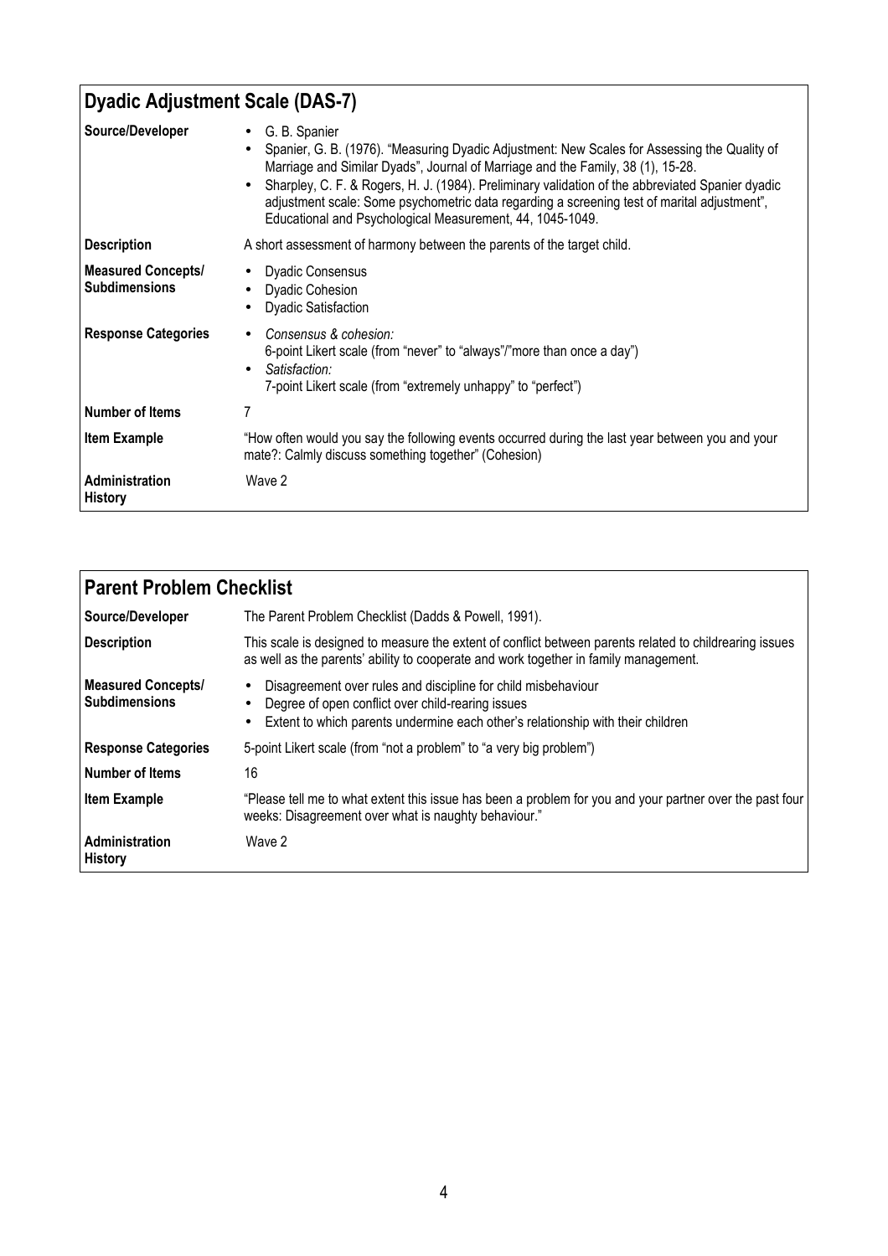| Dyadic Adjustment Scale (DAS-7)                   |                                                                                                                                                                                                                                                                                                                                                                                                                                                                               |
|---------------------------------------------------|-------------------------------------------------------------------------------------------------------------------------------------------------------------------------------------------------------------------------------------------------------------------------------------------------------------------------------------------------------------------------------------------------------------------------------------------------------------------------------|
| Source/Developer                                  | G. B. Spanier<br>$\bullet$<br>Spanier, G. B. (1976). "Measuring Dyadic Adjustment: New Scales for Assessing the Quality of<br>Marriage and Similar Dyads", Journal of Marriage and the Family, 38 (1), 15-28.<br>Sharpley, C. F. & Rogers, H. J. (1984). Preliminary validation of the abbreviated Spanier dyadic<br>adjustment scale: Some psychometric data regarding a screening test of marital adjustment",<br>Educational and Psychological Measurement, 44, 1045-1049. |
| <b>Description</b>                                | A short assessment of harmony between the parents of the target child.                                                                                                                                                                                                                                                                                                                                                                                                        |
| <b>Measured Concepts/</b><br><b>Subdimensions</b> | <b>Dyadic Consensus</b><br><b>Dyadic Cohesion</b><br><b>Dyadic Satisfaction</b>                                                                                                                                                                                                                                                                                                                                                                                               |
| <b>Response Categories</b>                        | Consensus & cohesion:<br>$\bullet$<br>6-point Likert scale (from "never" to "always"/"more than once a day")<br>Satisfaction:<br>7-point Likert scale (from "extremely unhappy" to "perfect")                                                                                                                                                                                                                                                                                 |
| Number of Items                                   |                                                                                                                                                                                                                                                                                                                                                                                                                                                                               |
| <b>Item Example</b>                               | "How often would you say the following events occurred during the last year between you and your<br>mate?: Calmly discuss something together" (Cohesion)                                                                                                                                                                                                                                                                                                                      |
| Administration<br><b>History</b>                  | Wave 2                                                                                                                                                                                                                                                                                                                                                                                                                                                                        |

| <b>Parent Problem Checklist</b>            |                                                                                                                                                                                                            |
|--------------------------------------------|------------------------------------------------------------------------------------------------------------------------------------------------------------------------------------------------------------|
| Source/Developer                           | The Parent Problem Checklist (Dadds & Powell, 1991).                                                                                                                                                       |
| <b>Description</b>                         | This scale is designed to measure the extent of conflict between parents related to childrearing issues<br>as well as the parents' ability to cooperate and work together in family management.            |
| Measured Concepts/<br><b>Subdimensions</b> | Disagreement over rules and discipline for child misbehaviour<br>٠<br>Degree of open conflict over child-rearing issues<br>Extent to which parents undermine each other's relationship with their children |
| <b>Response Categories</b>                 | 5-point Likert scale (from "not a problem" to "a very big problem")                                                                                                                                        |
| Number of Items                            | 16                                                                                                                                                                                                         |
| <b>Item Example</b>                        | "Please tell me to what extent this issue has been a problem for you and your partner over the past four<br>weeks: Disagreement over what is naughty behaviour."                                           |
| <b>Administration</b><br><b>History</b>    | Wave 2                                                                                                                                                                                                     |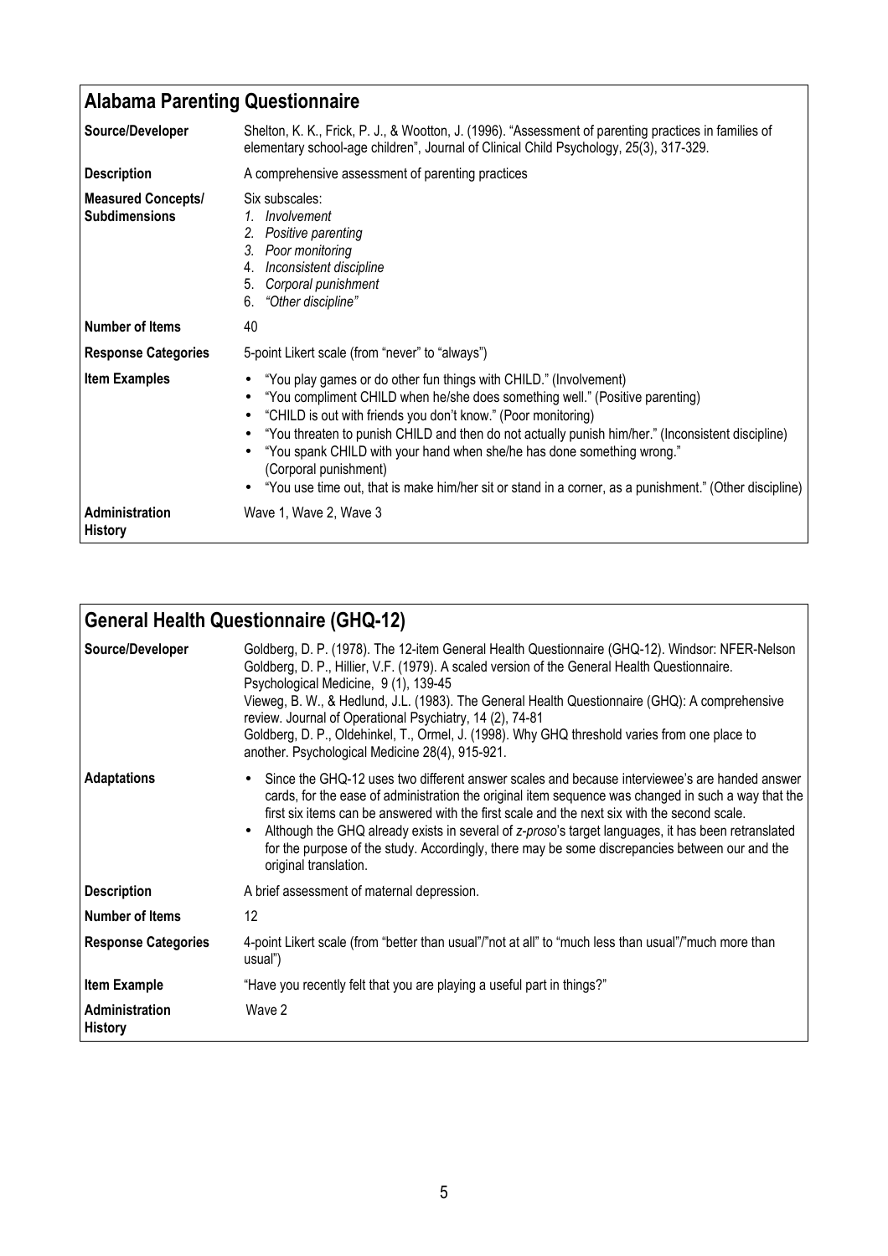| <b>Alabama Parenting Questionnaire</b>            |                                                                                                                                                                                                                                                                                                                                                                                                                                                                                                                                        |
|---------------------------------------------------|----------------------------------------------------------------------------------------------------------------------------------------------------------------------------------------------------------------------------------------------------------------------------------------------------------------------------------------------------------------------------------------------------------------------------------------------------------------------------------------------------------------------------------------|
| Source/Developer                                  | Shelton, K. K., Frick, P. J., & Wootton, J. (1996). "Assessment of parenting practices in families of<br>elementary school-age children", Journal of Clinical Child Psychology, 25(3), 317-329.                                                                                                                                                                                                                                                                                                                                        |
| <b>Description</b>                                | A comprehensive assessment of parenting practices                                                                                                                                                                                                                                                                                                                                                                                                                                                                                      |
| <b>Measured Concepts/</b><br><b>Subdimensions</b> | Six subscales:<br>1. Involvement<br>2. Positive parenting<br>3. Poor monitoring<br>4. Inconsistent discipline<br>5. Corporal punishment<br>6. "Other discipline"                                                                                                                                                                                                                                                                                                                                                                       |
| <b>Number of Items</b>                            | 40                                                                                                                                                                                                                                                                                                                                                                                                                                                                                                                                     |
| <b>Response Categories</b>                        | 5-point Likert scale (from "never" to "always")                                                                                                                                                                                                                                                                                                                                                                                                                                                                                        |
| <b>Item Examples</b>                              | "You play games or do other fun things with CHILD." (Involvement)<br>"You compliment CHILD when he/she does something well." (Positive parenting)<br>"CHILD is out with friends you don't know." (Poor monitoring)<br>"You threaten to punish CHILD and then do not actually punish him/her." (Inconsistent discipline)<br>"You spank CHILD with your hand when she/he has done something wrong."<br>(Corporal punishment)<br>• "You use time out, that is make him/her sit or stand in a corner, as a punishment." (Other discipline) |
| Administration<br><b>History</b>                  | Wave 1, Wave 2, Wave 3                                                                                                                                                                                                                                                                                                                                                                                                                                                                                                                 |

| <b>General Health Questionnaire (GHQ-12)</b> |                                                                                                                                                                                                                                                                                                                                                                                                                                                                                                                                                            |
|----------------------------------------------|------------------------------------------------------------------------------------------------------------------------------------------------------------------------------------------------------------------------------------------------------------------------------------------------------------------------------------------------------------------------------------------------------------------------------------------------------------------------------------------------------------------------------------------------------------|
| Source/Developer                             | Goldberg, D. P. (1978). The 12-item General Health Questionnaire (GHQ-12). Windsor: NFER-Nelson<br>Goldberg, D. P., Hillier, V.F. (1979). A scaled version of the General Health Questionnaire.<br>Psychological Medicine, 9 (1), 139-45<br>Vieweg, B. W., & Hedlund, J.L. (1983). The General Health Questionnaire (GHQ): A comprehensive<br>review. Journal of Operational Psychiatry, 14 (2), 74-81<br>Goldberg, D. P., Oldehinkel, T., Ormel, J. (1998). Why GHQ threshold varies from one place to<br>another. Psychological Medicine 28(4), 915-921. |
| <b>Adaptations</b>                           | Since the GHQ-12 uses two different answer scales and because interviewee's are handed answer<br>cards, for the ease of administration the original item sequence was changed in such a way that the<br>first six items can be answered with the first scale and the next six with the second scale.<br>Although the GHQ already exists in several of z-proso's target languages, it has been retranslated<br>for the purpose of the study. Accordingly, there may be some discrepancies between our and the<br>original translation.                      |
| <b>Description</b>                           | A brief assessment of maternal depression.                                                                                                                                                                                                                                                                                                                                                                                                                                                                                                                 |
| Number of Items                              | 12 <sup>2</sup>                                                                                                                                                                                                                                                                                                                                                                                                                                                                                                                                            |
| <b>Response Categories</b>                   | 4-point Likert scale (from "better than usual"/"not at all" to "much less than usual"/"much more than<br>usual")                                                                                                                                                                                                                                                                                                                                                                                                                                           |
| <b>Item Example</b>                          | "Have you recently felt that you are playing a useful part in things?"                                                                                                                                                                                                                                                                                                                                                                                                                                                                                     |
| <b>Administration</b><br><b>History</b>      | Wave 2                                                                                                                                                                                                                                                                                                                                                                                                                                                                                                                                                     |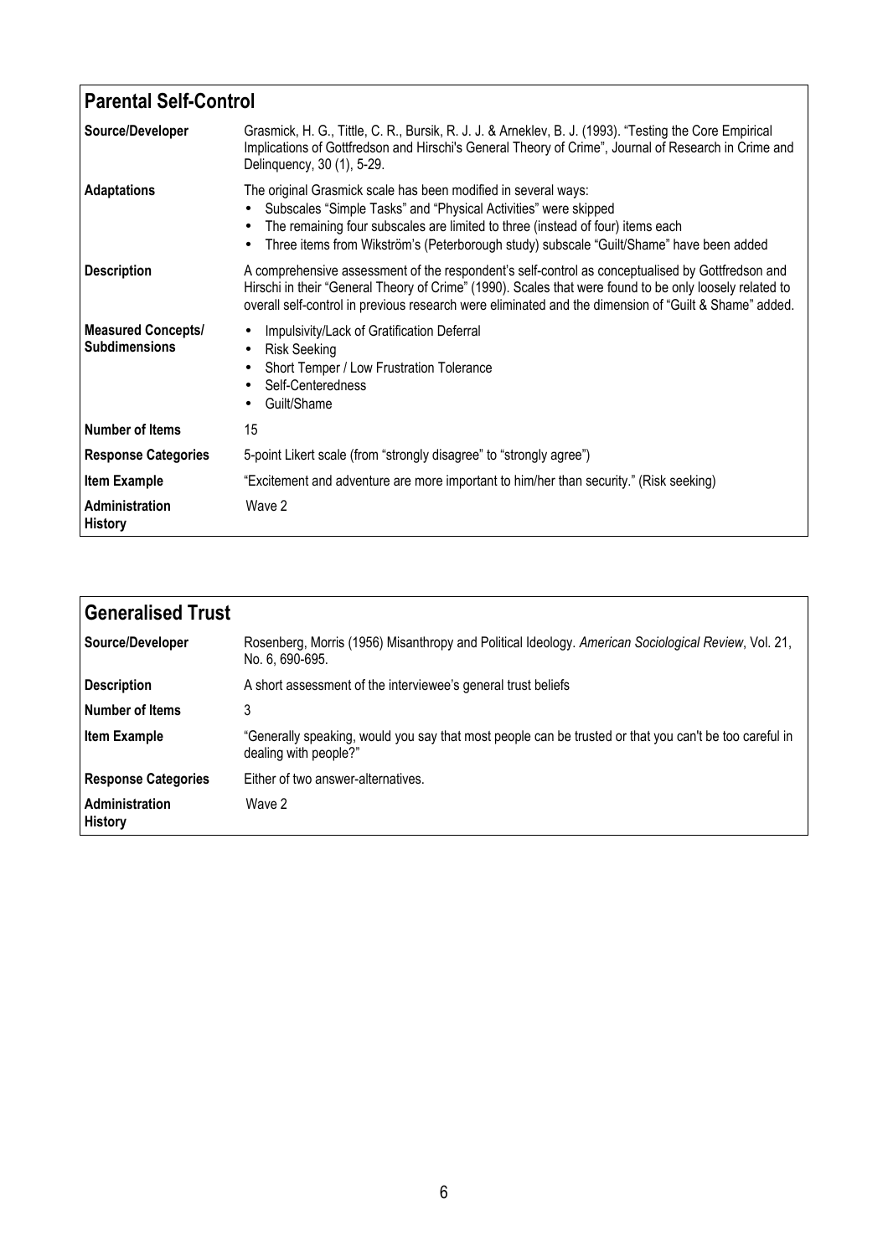| <b>Parental Self-Control</b>                      |                                                                                                                                                                                                                                                                                                                      |
|---------------------------------------------------|----------------------------------------------------------------------------------------------------------------------------------------------------------------------------------------------------------------------------------------------------------------------------------------------------------------------|
| Source/Developer                                  | Grasmick, H. G., Tittle, C. R., Bursik, R. J. J. & Arneklev, B. J. (1993). "Testing the Core Empirical<br>Implications of Gottfredson and Hirschi's General Theory of Crime", Journal of Research in Crime and<br>Delinquency, 30 (1), 5-29.                                                                         |
| <b>Adaptations</b>                                | The original Grasmick scale has been modified in several ways:<br>Subscales "Simple Tasks" and "Physical Activities" were skipped<br>The remaining four subscales are limited to three (instead of four) items each<br>Three items from Wikström's (Peterborough study) subscale "Guilt/Shame" have been added       |
| <b>Description</b>                                | A comprehensive assessment of the respondent's self-control as conceptualised by Gottfredson and<br>Hirschi in their "General Theory of Crime" (1990). Scales that were found to be only loosely related to<br>overall self-control in previous research were eliminated and the dimension of "Guilt & Shame" added. |
| <b>Measured Concepts/</b><br><b>Subdimensions</b> | Impulsivity/Lack of Gratification Deferral<br><b>Risk Seeking</b><br>Short Temper / Low Frustration Tolerance<br>Self-Centeredness<br>Guilt/Shame                                                                                                                                                                    |
| <b>Number of Items</b>                            | 15                                                                                                                                                                                                                                                                                                                   |
| <b>Response Categories</b>                        | 5-point Likert scale (from "strongly disagree" to "strongly agree")                                                                                                                                                                                                                                                  |
| <b>Item Example</b>                               | "Excitement and adventure are more important to him/her than security." (Risk seeking)                                                                                                                                                                                                                               |
| Administration<br><b>History</b>                  | Wave 2                                                                                                                                                                                                                                                                                                               |

| <b>Generalised Trust</b>         |                                                                                                                                 |
|----------------------------------|---------------------------------------------------------------------------------------------------------------------------------|
| Source/Developer                 | Rosenberg, Morris (1956) Misanthropy and Political Ideology. American Sociological Review, Vol. 21,<br>No. 6, 690-695.          |
| <b>Description</b>               | A short assessment of the interviewee's general trust beliefs                                                                   |
| Number of Items                  | 3                                                                                                                               |
| <b>Item Example</b>              | "Generally speaking, would you say that most people can be trusted or that you can't be too careful in<br>dealing with people?" |
| <b>Response Categories</b>       | Either of two answer-alternatives.                                                                                              |
| Administration<br><b>History</b> | Wave 2                                                                                                                          |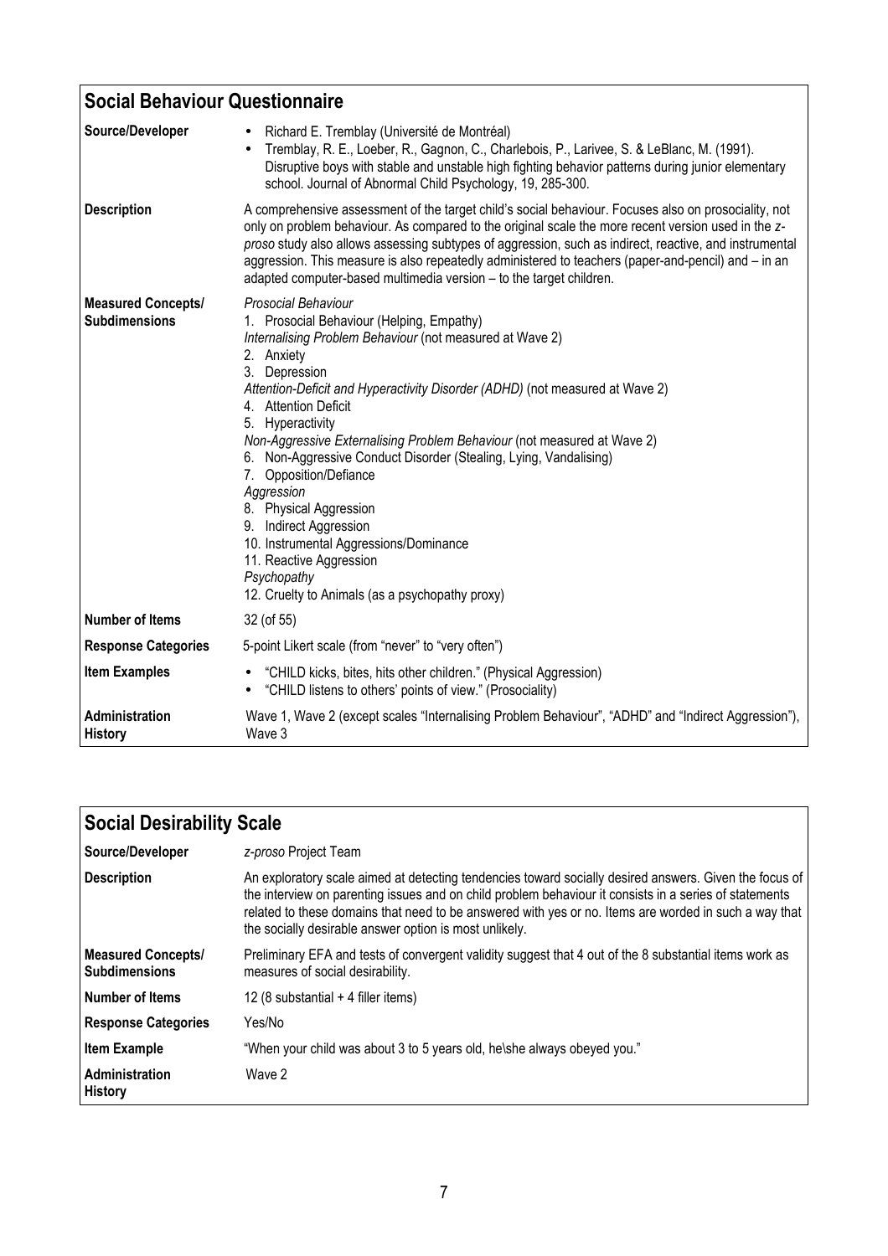| <b>Social Behaviour Questionnaire</b>             |                                                                                                                                                                                                                                                                                                                                                                                                                                                                                                                                                                                                                                                                                   |  |
|---------------------------------------------------|-----------------------------------------------------------------------------------------------------------------------------------------------------------------------------------------------------------------------------------------------------------------------------------------------------------------------------------------------------------------------------------------------------------------------------------------------------------------------------------------------------------------------------------------------------------------------------------------------------------------------------------------------------------------------------------|--|
| Source/Developer                                  | Richard E. Tremblay (Université de Montréal)<br>Tremblay, R. E., Loeber, R., Gagnon, C., Charlebois, P., Larivee, S. & LeBlanc, M. (1991).<br>$\bullet$<br>Disruptive boys with stable and unstable high fighting behavior patterns during junior elementary<br>school. Journal of Abnormal Child Psychology, 19, 285-300.                                                                                                                                                                                                                                                                                                                                                        |  |
| <b>Description</b>                                | A comprehensive assessment of the target child's social behaviour. Focuses also on prosociality, not<br>only on problem behaviour. As compared to the original scale the more recent version used in the z-<br>proso study also allows assessing subtypes of aggression, such as indirect, reactive, and instrumental<br>aggression. This measure is also repeatedly administered to teachers (paper-and-pencil) and - in an<br>adapted computer-based multimedia version - to the target children.                                                                                                                                                                               |  |
| <b>Measured Concepts/</b><br><b>Subdimensions</b> | <b>Prosocial Behaviour</b><br>1. Prosocial Behaviour (Helping, Empathy)<br>Internalising Problem Behaviour (not measured at Wave 2)<br>2. Anxiety<br>3. Depression<br>Attention-Deficit and Hyperactivity Disorder (ADHD) (not measured at Wave 2)<br>4. Attention Deficit<br>5. Hyperactivity<br>Non-Aggressive Externalising Problem Behaviour (not measured at Wave 2)<br>6. Non-Aggressive Conduct Disorder (Stealing, Lying, Vandalising)<br>7. Opposition/Defiance<br>Aggression<br>8. Physical Aggression<br>9. Indirect Aggression<br>10. Instrumental Aggressions/Dominance<br>11. Reactive Aggression<br>Psychopathy<br>12. Cruelty to Animals (as a psychopathy proxy) |  |
| <b>Number of Items</b>                            | 32 (of 55)                                                                                                                                                                                                                                                                                                                                                                                                                                                                                                                                                                                                                                                                        |  |
| <b>Response Categories</b>                        | 5-point Likert scale (from "never" to "very often")                                                                                                                                                                                                                                                                                                                                                                                                                                                                                                                                                                                                                               |  |
| <b>Item Examples</b>                              | "CHILD kicks, bites, hits other children." (Physical Aggression)<br>• "CHILD listens to others' points of view." (Prosociality)                                                                                                                                                                                                                                                                                                                                                                                                                                                                                                                                                   |  |
| Administration<br><b>History</b>                  | Wave 1, Wave 2 (except scales "Internalising Problem Behaviour", "ADHD" and "Indirect Aggression"),<br>Wave 3                                                                                                                                                                                                                                                                                                                                                                                                                                                                                                                                                                     |  |

| Social Desirability Scale                         |                                                                                                                                                                                                                                                                                                                                                                                     |
|---------------------------------------------------|-------------------------------------------------------------------------------------------------------------------------------------------------------------------------------------------------------------------------------------------------------------------------------------------------------------------------------------------------------------------------------------|
| Source/Developer                                  | z-proso Project Team                                                                                                                                                                                                                                                                                                                                                                |
| <b>Description</b>                                | An exploratory scale aimed at detecting tendencies toward socially desired answers. Given the focus of<br>the interview on parenting issues and on child problem behaviour it consists in a series of statements<br>related to these domains that need to be answered with yes or no. Items are worded in such a way that<br>the socially desirable answer option is most unlikely. |
| <b>Measured Concepts/</b><br><b>Subdimensions</b> | Preliminary EFA and tests of convergent validity suggest that 4 out of the 8 substantial items work as<br>measures of social desirability.                                                                                                                                                                                                                                          |
| l Number of Items                                 | 12 (8 substantial $+$ 4 filler items)                                                                                                                                                                                                                                                                                                                                               |
| <b>Response Categories</b>                        | Yes/No                                                                                                                                                                                                                                                                                                                                                                              |
| <b>Item Example</b>                               | "When your child was about 3 to 5 years old, he\she always obeyed you."                                                                                                                                                                                                                                                                                                             |
| <b>Administration</b><br><b>History</b>           | Wave 2                                                                                                                                                                                                                                                                                                                                                                              |